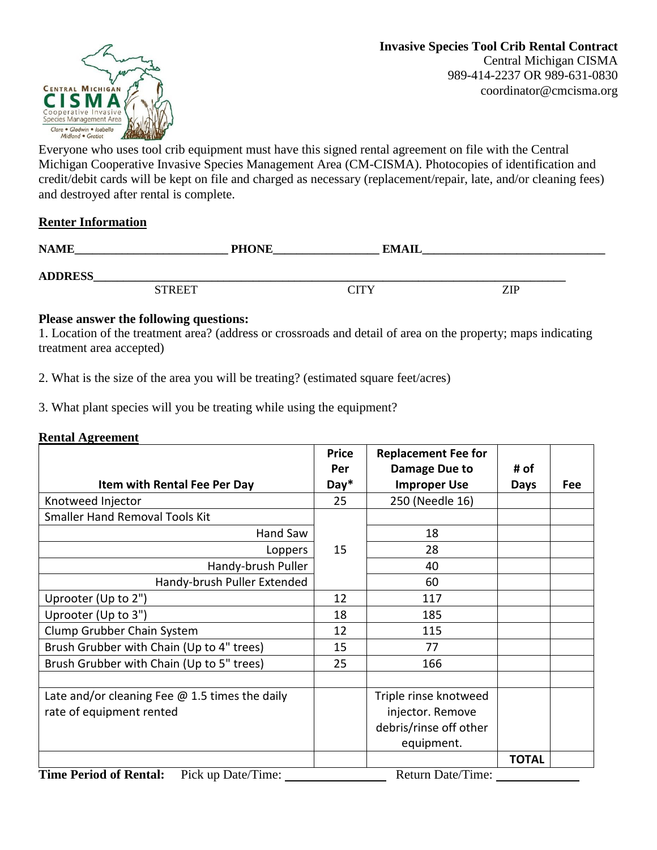

Everyone who uses tool crib equipment must have this signed rental agreement on file with the Central Michigan Cooperative Invasive Species Management Area (CM-CISMA). Photocopies of identification and credit/debit cards will be kept on file and charged as necessary (replacement/repair, late, and/or cleaning fees) and destroyed after rental is complete.

## **Renter Information**

| <b>NAME</b>    | <b>PHONE</b> | EMAII |     |  |
|----------------|--------------|-------|-----|--|
| <b>ADDRESS</b> |              |       |     |  |
| <b>STREET</b>  |              | CITY  | ZIP |  |

## **Please answer the following questions:**

1. Location of the treatment area? (address or crossroads and detail of area on the property; maps indicating treatment area accepted)

2. What is the size of the area you will be treating? (estimated square feet/acres)

3. What plant species will you be treating while using the equipment?

## **Rental Agreement**

|                                                                                                                              | <b>Price</b> | <b>Replacement Fee for</b> |              |     |
|------------------------------------------------------------------------------------------------------------------------------|--------------|----------------------------|--------------|-----|
|                                                                                                                              | Per          | Damage Due to              | # of         |     |
| Item with Rental Fee Per Day                                                                                                 |              | <b>Improper Use</b>        | <b>Days</b>  | Fee |
| Knotweed Injector                                                                                                            | 25           | 250 (Needle 16)            |              |     |
| <b>Smaller Hand Removal Tools Kit</b>                                                                                        |              |                            |              |     |
| Hand Saw                                                                                                                     |              | 18                         |              |     |
| Loppers                                                                                                                      |              | 28                         |              |     |
| Handy-brush Puller                                                                                                           |              | 40                         |              |     |
| Handy-brush Puller Extended                                                                                                  |              | 60                         |              |     |
| Uprooter (Up to 2")                                                                                                          | 12           | 117                        |              |     |
| Uprooter (Up to 3")                                                                                                          |              | 185                        |              |     |
| Clump Grubber Chain System                                                                                                   | 12           | 115                        |              |     |
| Brush Grubber with Chain (Up to 4" trees)                                                                                    | 15           | 77                         |              |     |
| Brush Grubber with Chain (Up to 5" trees)                                                                                    | 25           | 166                        |              |     |
|                                                                                                                              |              |                            |              |     |
| Late and/or cleaning Fee $\omega$ 1.5 times the daily                                                                        |              | Triple rinse knotweed      |              |     |
| rate of equipment rented                                                                                                     |              | injector. Remove           |              |     |
|                                                                                                                              |              | debris/rinse off other     |              |     |
|                                                                                                                              |              | equipment.                 |              |     |
|                                                                                                                              |              |                            | <b>TOTAL</b> |     |
| Timo Doriod of Dontol:<br>$\rm{Di}$ $\alpha$ un $\rm{Data}/\rm{T}$ imar<br>$D_{\text{aturn}}$ $D_{\text{at}}/T_{\text{ima}}$ |              |                            |              |     |

**Time Period of Rental:** Pick up Date/Time: <u>Return Date/Time:</u> Return Date/Time: